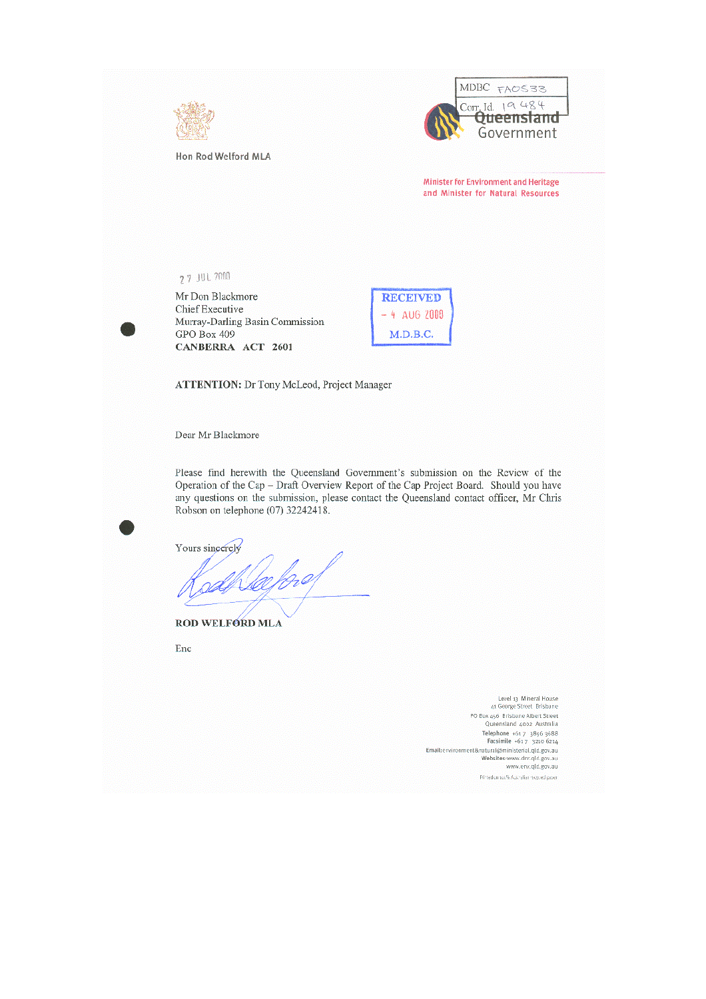

Hon Rod Welford MLA



**Minister for Environment and Heritage** and Minister for Natural Resources

**77 JUL 2000** 

Mr Don Blackmore Chief Executive Murray-Darling Basin Commission GPO Box 409 CANBERRA ACT 2601

| <b>RECEIVED</b> |  |
|-----------------|--|
| 4 AUG 2009      |  |
| M.D.B.C.        |  |

**ATTENTION:** Dr Tony McLeod, Project Manager

Dear Mr Blackmore

Please find herewith the Queensland Government's submission on the Review of the Operation of the Cap - Draft Overview Report of the Cap Project Board. Should you have any questions on the submission, please contact the Queensland contact officer, Mr Chris Robson on telephone (07) 32242418.

Yours sincerely fg.al

ROD WELFORD MLA

Enc

Level 13 Mineral House 41 George Street Brisbane PO Box 456 Brisbane Albert Street<br>Queensland 4002 Australia Telephone +617 3896 3688<br>Facsimile +617 3210 6214 Email:environment&natural@ministerial.qld.gov.au<br>Websites:www.dnr.qld.gov.au<br>www.env.qld.gov.au Printed on 100% Australian recycled paper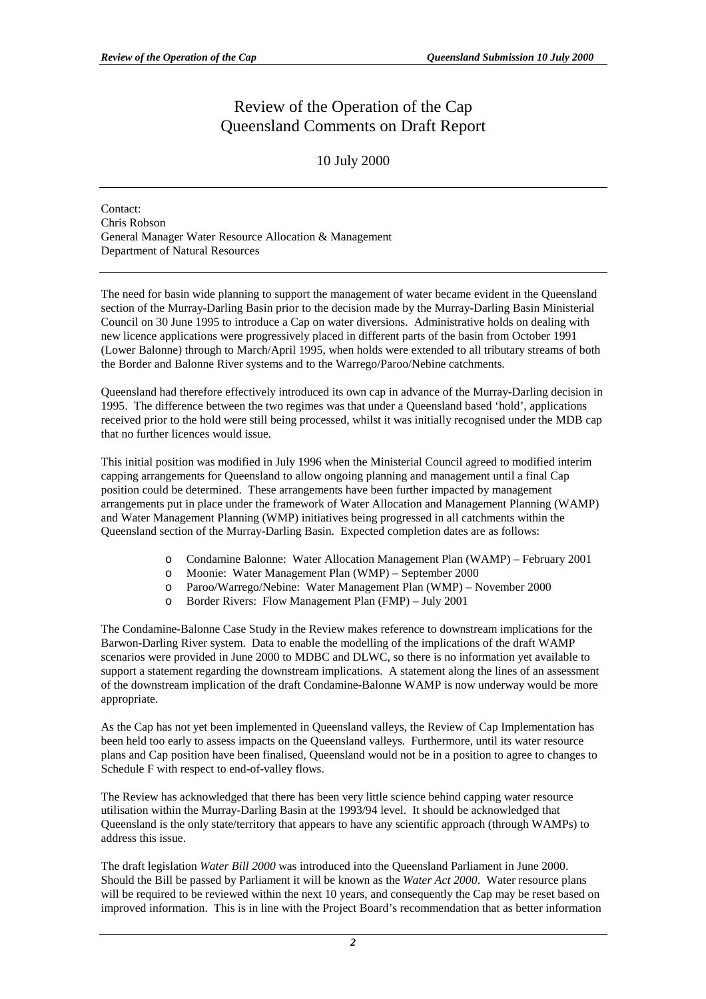## Review of the Operation of the Cap Queensland Comments on Draft Report

## 10 July 2000

Contact: Chris Robson General Manager Water Resource Allocation & Management Department of Natural Resources

The need for basin wide planning to support the management of water became evident in the Queensland section of the Murray-Darling Basin prior to the decision made by the Murray-Darling Basin Ministerial Council on 30 June 1995 to introduce a Cap on water diversions. Administrative holds on dealing with new licence applications were progressively placed in different parts of the basin from October 1991 (Lower Balonne) through to March/April 1995, when holds were extended to all tributary streams of both the Border and Balonne River systems and to the Warrego/Paroo/Nebine catchments.

Queensland had therefore effectively introduced its own cap in advance of the Murray-Darling decision in 1995. The difference between the two regimes was that under a Queensland based 'hold', applications received prior to the hold were still being processed, whilst it was initially recognised under the MDB cap that no further licences would issue.

This initial position was modified in July 1996 when the Ministerial Council agreed to modified interim capping arrangements for Queensland to allow ongoing planning and management until a final Cap position could be determined. These arrangements have been further impacted by management arrangements put in place under the framework of Water Allocation and Management Planning (WAMP) and Water Management Planning (WMP) initiatives being progressed in all catchments within the Queensland section of the Murray-Darling Basin. Expected completion dates are as follows:

- o Condamine Balonne: Water Allocation Management Plan (WAMP) February 2001
- o Moonie: Water Management Plan (WMP) September 2000
- o Paroo/Warrego/Nebine: Water Management Plan (WMP) November 2000
- o Border Rivers: Flow Management Plan (FMP) July 2001

The Condamine-Balonne Case Study in the Review makes reference to downstream implications for the Barwon-Darling River system. Data to enable the modelling of the implications of the draft WAMP scenarios were provided in June 2000 to MDBC and DLWC, so there is no information yet available to support a statement regarding the downstream implications. A statement along the lines of an assessment of the downstream implication of the draft Condamine-Balonne WAMP is now underway would be more appropriate.

As the Cap has not yet been implemented in Queensland valleys, the Review of Cap Implementation has been held too early to assess impacts on the Queensland valleys. Furthermore, until its water resource plans and Cap position have been finalised, Queensland would not be in a position to agree to changes to Schedule F with respect to end-of-valley flows.

The Review has acknowledged that there has been very little science behind capping water resource utilisation within the Murray-Darling Basin at the 1993/94 level. It should be acknowledged that Queensland is the only state/territory that appears to have any scientific approach (through WAMPs) to address this issue.

The draft legislation *Water Bill 2000* was introduced into the Queensland Parliament in June 2000. Should the Bill be passed by Parliament it will be known as the *Water Act 2000*. Water resource plans will be required to be reviewed within the next 10 years, and consequently the Cap may be reset based on improved information. This is in line with the Project Board's recommendation that as better information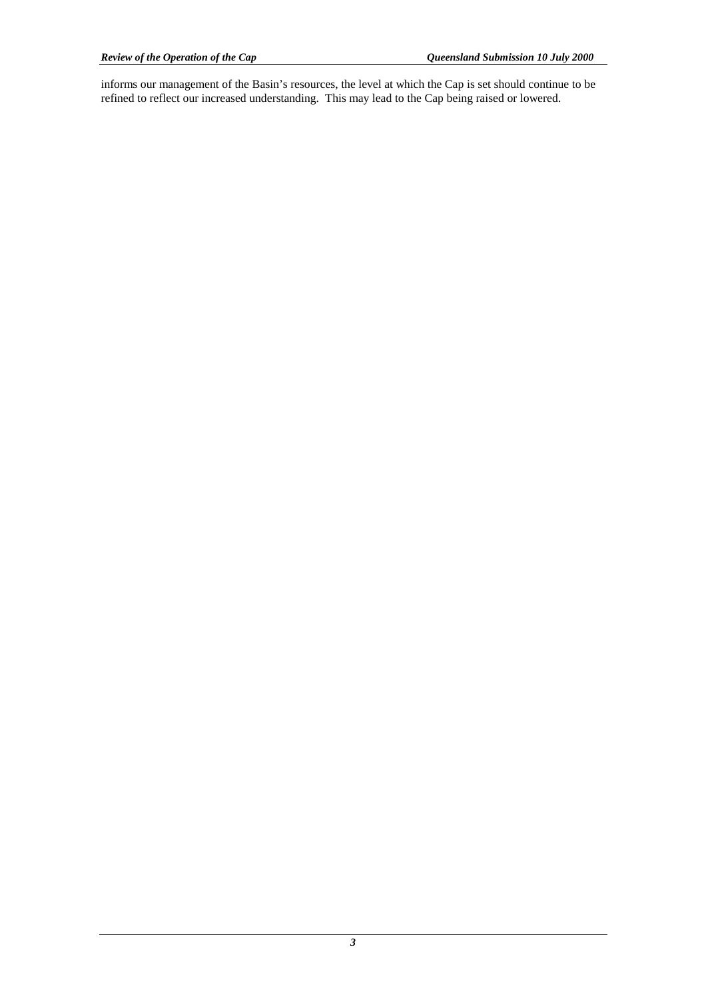informs our management of the Basin's resources, the level at which the Cap is set should continue to be refined to reflect our increased understanding. This may lead to the Cap being raised or lowered.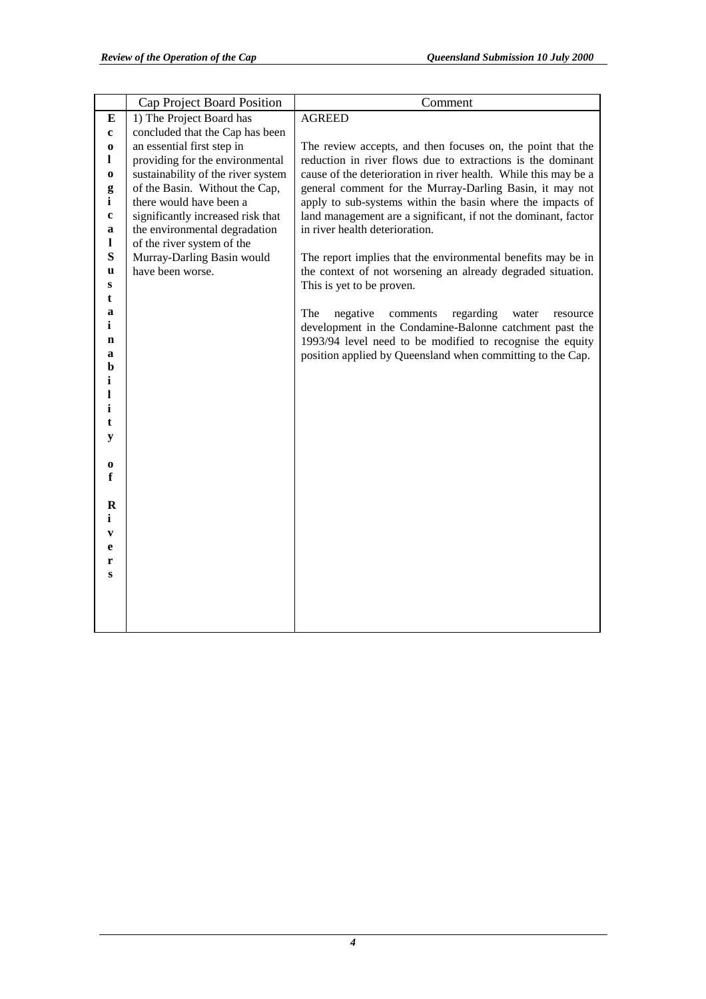|                  | Cap Project Board Position                                  | Comment                                                                                          |
|------------------|-------------------------------------------------------------|--------------------------------------------------------------------------------------------------|
| Е                | 1) The Project Board has                                    | <b>AGREED</b>                                                                                    |
| $\mathbf c$      | concluded that the Cap has been                             |                                                                                                  |
| $\bf{0}$         | an essential first step in                                  | The review accepts, and then focuses on, the point that the                                      |
| 1                | providing for the environmental                             | reduction in river flows due to extractions is the dominant                                      |
| $\bf{0}$         | sustainability of the river system                          | cause of the deterioration in river health. While this may be a                                  |
| g                | of the Basin. Without the Cap,                              | general comment for the Murray-Darling Basin, it may not                                         |
| i                | there would have been a                                     | apply to sub-systems within the basin where the impacts of                                       |
| $\mathbf c$<br>a | significantly increased risk that                           | land management are a significant, if not the dominant, factor<br>in river health deterioration. |
| 1                | the environmental degradation<br>of the river system of the |                                                                                                  |
| S                | Murray-Darling Basin would                                  | The report implies that the environmental benefits may be in                                     |
| u                | have been worse.                                            | the context of not worsening an already degraded situation.                                      |
| S                |                                                             | This is yet to be proven.                                                                        |
| t                |                                                             |                                                                                                  |
| a                |                                                             | The<br>regarding<br>negative<br>comments<br>water<br>resource                                    |
| i                |                                                             | development in the Condamine-Balonne catchment past the                                          |
| n                |                                                             | 1993/94 level need to be modified to recognise the equity                                        |
| a                |                                                             | position applied by Queensland when committing to the Cap.                                       |
| b                |                                                             |                                                                                                  |
| i                |                                                             |                                                                                                  |
| 1                |                                                             |                                                                                                  |
| i<br>t           |                                                             |                                                                                                  |
| y                |                                                             |                                                                                                  |
|                  |                                                             |                                                                                                  |
| $\bf o$          |                                                             |                                                                                                  |
| $\mathbf f$      |                                                             |                                                                                                  |
|                  |                                                             |                                                                                                  |
| $\bf R$          |                                                             |                                                                                                  |
| $\mathbf{i}$     |                                                             |                                                                                                  |
| $\mathbf{v}$     |                                                             |                                                                                                  |
| e                |                                                             |                                                                                                  |
| r                |                                                             |                                                                                                  |
| S                |                                                             |                                                                                                  |
|                  |                                                             |                                                                                                  |
|                  |                                                             |                                                                                                  |
|                  |                                                             |                                                                                                  |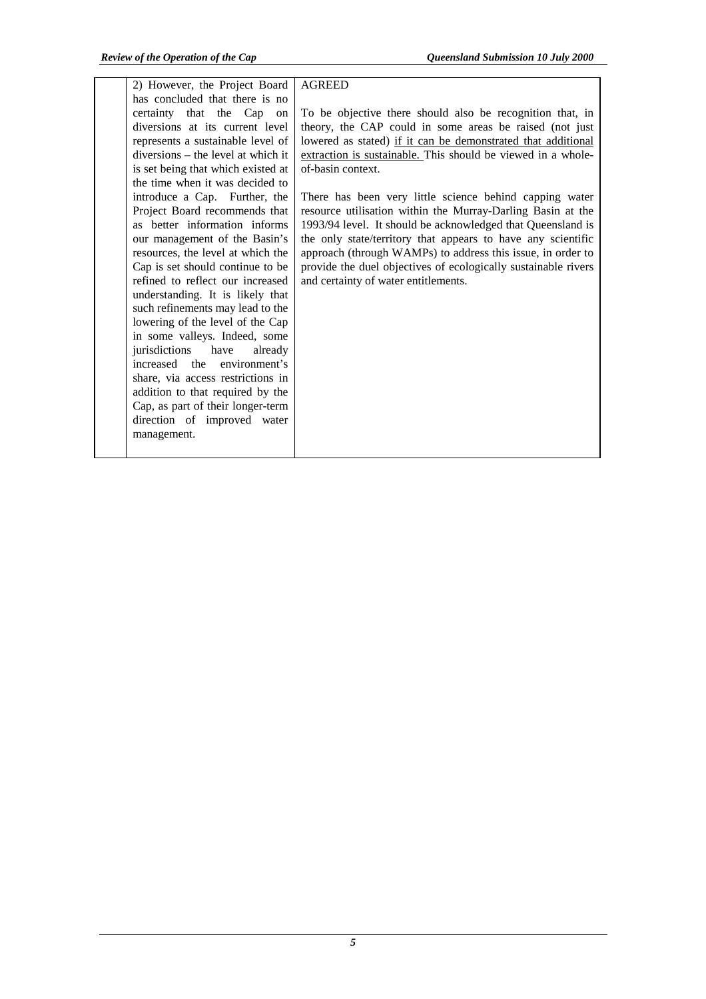| 2) However, the Project Board      | <b>AGREED</b>                                                  |
|------------------------------------|----------------------------------------------------------------|
| has concluded that there is no     |                                                                |
| certainty that the Cap on          | To be objective there should also be recognition that, in      |
| diversions at its current level    | theory, the CAP could in some areas be raised (not just        |
| represents a sustainable level of  | lowered as stated) if it can be demonstrated that additional   |
| diversions - the level at which it | extraction is sustainable. This should be viewed in a whole-   |
| is set being that which existed at | of-basin context.                                              |
| the time when it was decided to    |                                                                |
| introduce a Cap. Further, the      | There has been very little science behind capping water        |
| Project Board recommends that      | resource utilisation within the Murray-Darling Basin at the    |
| as better information informs      | 1993/94 level. It should be acknowledged that Queensland is    |
| our management of the Basin's      | the only state/territory that appears to have any scientific   |
| resources, the level at which the  | approach (through WAMPs) to address this issue, in order to    |
| Cap is set should continue to be   | provide the duel objectives of ecologically sustainable rivers |
| refined to reflect our increased   | and certainty of water entitlements.                           |
| understanding. It is likely that   |                                                                |
| such refinements may lead to the   |                                                                |
| lowering of the level of the Cap   |                                                                |
| in some valleys. Indeed, some      |                                                                |
| jurisdictions<br>have<br>already   |                                                                |
| increased the environment's        |                                                                |
| share, via access restrictions in  |                                                                |
| addition to that required by the   |                                                                |
| Cap, as part of their longer-term  |                                                                |
| direction of improved water        |                                                                |
| management.                        |                                                                |
|                                    |                                                                |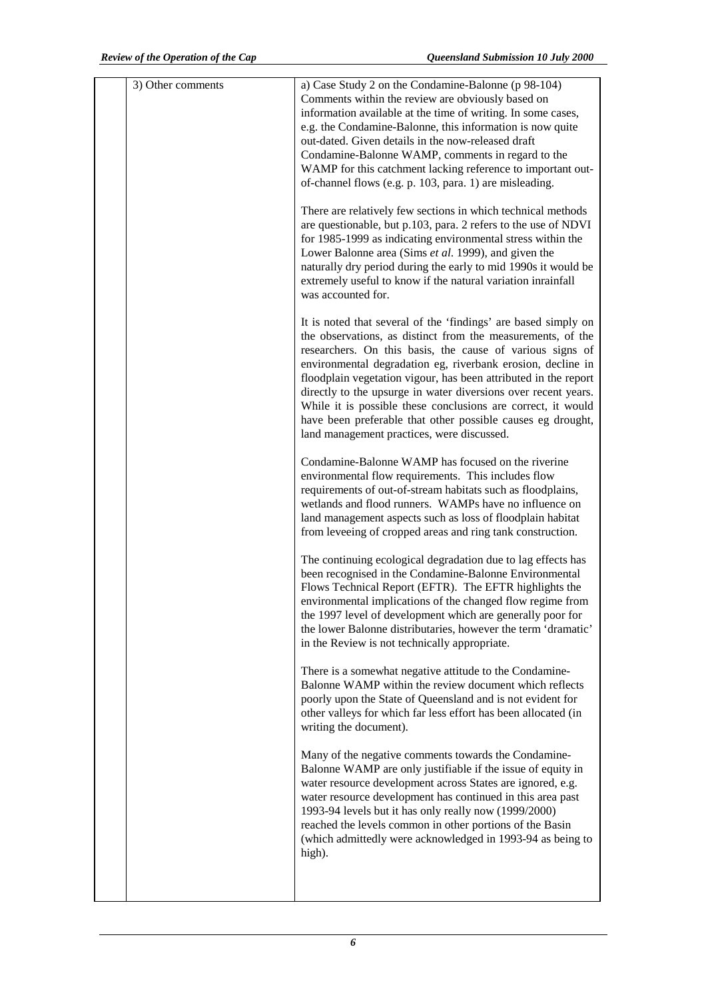| 3) Other comments | a) Case Study 2 on the Condamine-Balonne (p 98-104)<br>Comments within the review are obviously based on<br>information available at the time of writing. In some cases,<br>e.g. the Condamine-Balonne, this information is now quite<br>out-dated. Given details in the now-released draft<br>Condamine-Balonne WAMP, comments in regard to the<br>WAMP for this catchment lacking reference to important out-<br>of-channel flows (e.g. p. 103, para. 1) are misleading.                                                                                                  |
|-------------------|-----------------------------------------------------------------------------------------------------------------------------------------------------------------------------------------------------------------------------------------------------------------------------------------------------------------------------------------------------------------------------------------------------------------------------------------------------------------------------------------------------------------------------------------------------------------------------|
|                   | There are relatively few sections in which technical methods<br>are questionable, but p.103, para. 2 refers to the use of NDVI<br>for 1985-1999 as indicating environmental stress within the<br>Lower Balonne area (Sims et al. 1999), and given the<br>naturally dry period during the early to mid 1990s it would be<br>extremely useful to know if the natural variation inrainfall<br>was accounted for.                                                                                                                                                               |
|                   | It is noted that several of the 'findings' are based simply on<br>the observations, as distinct from the measurements, of the<br>researchers. On this basis, the cause of various signs of<br>environmental degradation eg, riverbank erosion, decline in<br>floodplain vegetation vigour, has been attributed in the report<br>directly to the upsurge in water diversions over recent years.<br>While it is possible these conclusions are correct, it would<br>have been preferable that other possible causes eg drought,<br>land management practices, were discussed. |
|                   | Condamine-Balonne WAMP has focused on the riverine<br>environmental flow requirements. This includes flow<br>requirements of out-of-stream habitats such as floodplains,<br>wetlands and flood runners. WAMPs have no influence on<br>land management aspects such as loss of floodplain habitat<br>from leveeing of cropped areas and ring tank construction.                                                                                                                                                                                                              |
|                   | The continuing ecological degradation due to lag effects has<br>been recognised in the Condamine-Balonne Environmental<br>Flows Technical Report (EFTR). The EFTR highlights the<br>environmental implications of the changed flow regime from<br>the 1997 level of development which are generally poor for<br>the lower Balonne distributaries, however the term 'dramatic'<br>in the Review is not technically appropriate.                                                                                                                                              |
|                   | There is a somewhat negative attitude to the Condamine-<br>Balonne WAMP within the review document which reflects<br>poorly upon the State of Queensland and is not evident for<br>other valleys for which far less effort has been allocated (in<br>writing the document).                                                                                                                                                                                                                                                                                                 |
|                   | Many of the negative comments towards the Condamine-<br>Balonne WAMP are only justifiable if the issue of equity in<br>water resource development across States are ignored, e.g.<br>water resource development has continued in this area past<br>1993-94 levels but it has only really now (1999/2000)<br>reached the levels common in other portions of the Basin<br>(which admittedly were acknowledged in 1993-94 as being to<br>high).                                                                                                                                |
|                   |                                                                                                                                                                                                                                                                                                                                                                                                                                                                                                                                                                             |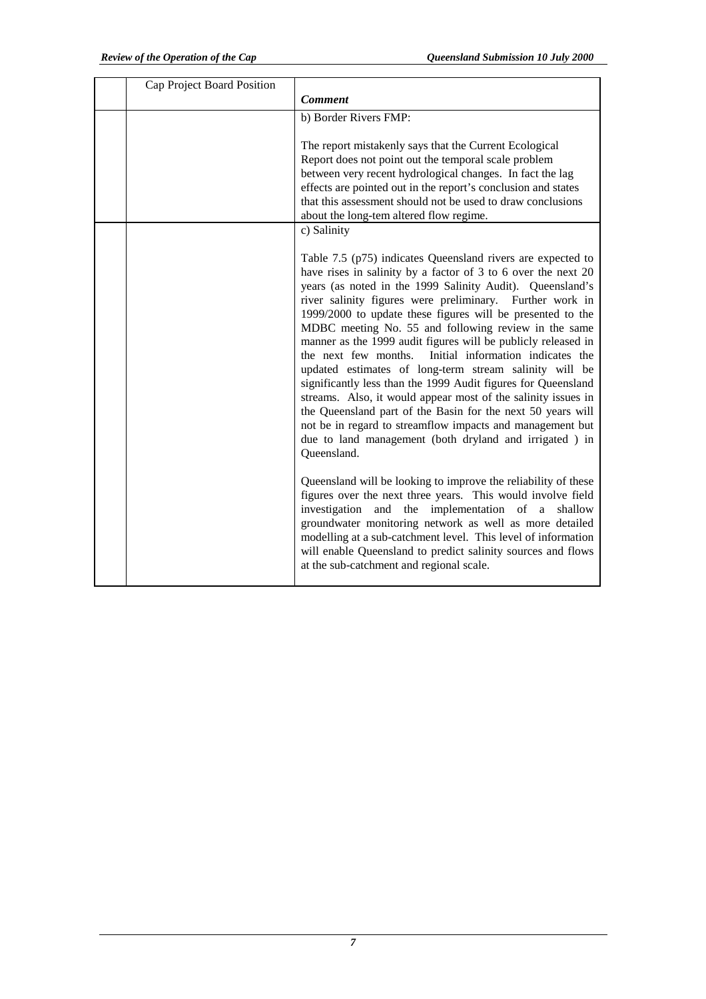| Cap Project Board Position |                                                                                                                                                                                                                                                                                                                                                                                                                                                                                                                                                                                                                                                                                                                                                                                                                                                                                                                                                                            |
|----------------------------|----------------------------------------------------------------------------------------------------------------------------------------------------------------------------------------------------------------------------------------------------------------------------------------------------------------------------------------------------------------------------------------------------------------------------------------------------------------------------------------------------------------------------------------------------------------------------------------------------------------------------------------------------------------------------------------------------------------------------------------------------------------------------------------------------------------------------------------------------------------------------------------------------------------------------------------------------------------------------|
|                            | <b>Comment</b>                                                                                                                                                                                                                                                                                                                                                                                                                                                                                                                                                                                                                                                                                                                                                                                                                                                                                                                                                             |
|                            | b) Border Rivers FMP:                                                                                                                                                                                                                                                                                                                                                                                                                                                                                                                                                                                                                                                                                                                                                                                                                                                                                                                                                      |
|                            | The report mistakenly says that the Current Ecological<br>Report does not point out the temporal scale problem<br>between very recent hydrological changes. In fact the lag<br>effects are pointed out in the report's conclusion and states<br>that this assessment should not be used to draw conclusions<br>about the long-tem altered flow regime.<br>c) Salinity                                                                                                                                                                                                                                                                                                                                                                                                                                                                                                                                                                                                      |
|                            | Table 7.5 (p75) indicates Queensland rivers are expected to<br>have rises in salinity by a factor of 3 to 6 over the next 20<br>years (as noted in the 1999 Salinity Audit). Queensland's<br>river salinity figures were preliminary. Further work in<br>1999/2000 to update these figures will be presented to the<br>MDBC meeting No. 55 and following review in the same<br>manner as the 1999 audit figures will be publicly released in<br>the next few months. Initial information indicates the<br>updated estimates of long-term stream salinity will be<br>significantly less than the 1999 Audit figures for Queensland<br>streams. Also, it would appear most of the salinity issues in<br>the Queensland part of the Basin for the next 50 years will<br>not be in regard to streamflow impacts and management but<br>due to land management (both dryland and irrigated ) in<br>Queensland.<br>Queensland will be looking to improve the reliability of these |
|                            | figures over the next three years. This would involve field<br>investigation and the implementation of a shallow<br>groundwater monitoring network as well as more detailed<br>modelling at a sub-catchment level. This level of information<br>will enable Queensland to predict salinity sources and flows<br>at the sub-catchment and regional scale.                                                                                                                                                                                                                                                                                                                                                                                                                                                                                                                                                                                                                   |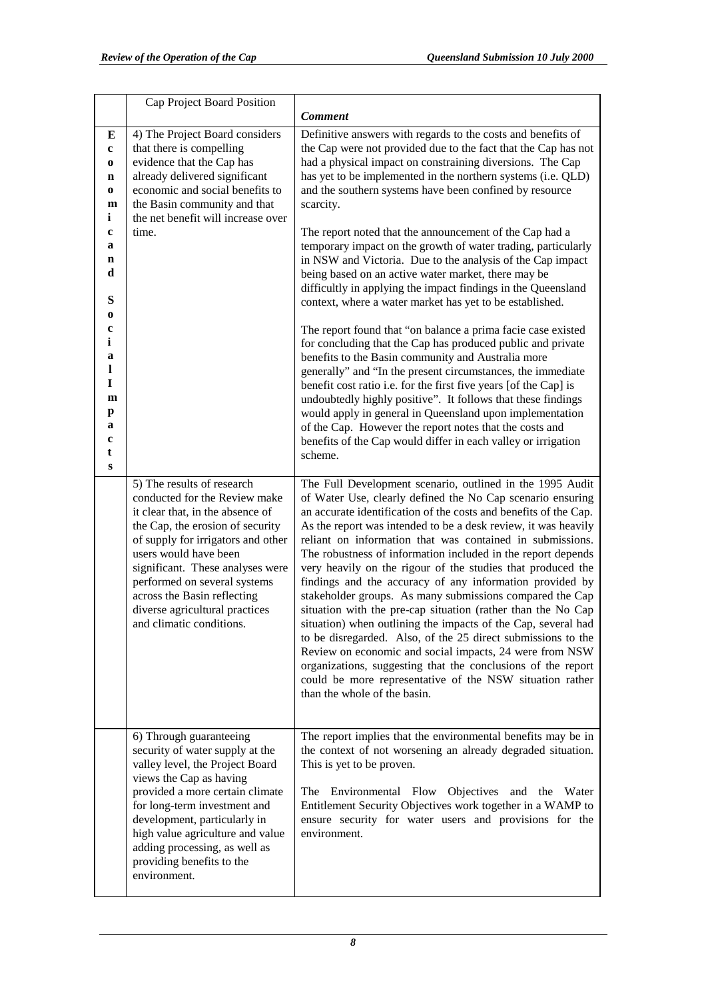|                                                                                                                                                         | Cap Project Board Position                                                                                                                                                                                                                                                                                                                                          |                                                                                                                                                                                                                                                                                                                                                                                                                                                                                                                                                                                                                                                                                                                                                                                                                                                                                                                                                                                                                                                                                                                                                                                                                                                                                                              |
|---------------------------------------------------------------------------------------------------------------------------------------------------------|---------------------------------------------------------------------------------------------------------------------------------------------------------------------------------------------------------------------------------------------------------------------------------------------------------------------------------------------------------------------|--------------------------------------------------------------------------------------------------------------------------------------------------------------------------------------------------------------------------------------------------------------------------------------------------------------------------------------------------------------------------------------------------------------------------------------------------------------------------------------------------------------------------------------------------------------------------------------------------------------------------------------------------------------------------------------------------------------------------------------------------------------------------------------------------------------------------------------------------------------------------------------------------------------------------------------------------------------------------------------------------------------------------------------------------------------------------------------------------------------------------------------------------------------------------------------------------------------------------------------------------------------------------------------------------------------|
|                                                                                                                                                         |                                                                                                                                                                                                                                                                                                                                                                     | <b>Comment</b>                                                                                                                                                                                                                                                                                                                                                                                                                                                                                                                                                                                                                                                                                                                                                                                                                                                                                                                                                                                                                                                                                                                                                                                                                                                                                               |
| E<br>$\mathbf c$<br>$\bf{0}$<br>n<br>$\bf{0}$<br>m<br>i<br>c<br>a<br>n<br>d<br>S<br>0<br>c<br>i<br>a<br>1<br>I<br>$\mathbf{m}$<br>p<br>a<br>c<br>t<br>S | 4) The Project Board considers<br>that there is compelling<br>evidence that the Cap has<br>already delivered significant<br>economic and social benefits to<br>the Basin community and that<br>the net benefit will increase over<br>time.                                                                                                                          | Definitive answers with regards to the costs and benefits of<br>the Cap were not provided due to the fact that the Cap has not<br>had a physical impact on constraining diversions. The Cap<br>has yet to be implemented in the northern systems (i.e. QLD)<br>and the southern systems have been confined by resource<br>scarcity.<br>The report noted that the announcement of the Cap had a<br>temporary impact on the growth of water trading, particularly<br>in NSW and Victoria. Due to the analysis of the Cap impact<br>being based on an active water market, there may be<br>difficultly in applying the impact findings in the Queensland<br>context, where a water market has yet to be established.<br>The report found that "on balance a prima facie case existed<br>for concluding that the Cap has produced public and private<br>benefits to the Basin community and Australia more<br>generally" and "In the present circumstances, the immediate<br>benefit cost ratio i.e. for the first five years [of the Cap] is<br>undoubtedly highly positive". It follows that these findings<br>would apply in general in Queensland upon implementation<br>of the Cap. However the report notes that the costs and<br>benefits of the Cap would differ in each valley or irrigation<br>scheme. |
|                                                                                                                                                         | 5) The results of research<br>conducted for the Review make<br>it clear that, in the absence of<br>the Cap, the erosion of security<br>of supply for irrigators and other<br>users would have been<br>significant. These analyses were<br>performed on several systems<br>across the Basin reflecting<br>diverse agricultural practices<br>and climatic conditions. | The Full Development scenario, outlined in the 1995 Audit<br>of Water Use, clearly defined the No Cap scenario ensuring<br>an accurate identification of the costs and benefits of the Cap.<br>As the report was intended to be a desk review, it was heavily<br>reliant on information that was contained in submissions.<br>The robustness of information included in the report depends<br>very heavily on the rigour of the studies that produced the<br>findings and the accuracy of any information provided by<br>stakeholder groups. As many submissions compared the Cap<br>situation with the pre-cap situation (rather than the No Cap<br>situation) when outlining the impacts of the Cap, several had<br>to be disregarded. Also, of the 25 direct submissions to the<br>Review on economic and social impacts, 24 were from NSW<br>organizations, suggesting that the conclusions of the report<br>could be more representative of the NSW situation rather<br>than the whole of the basin.                                                                                                                                                                                                                                                                                                    |
|                                                                                                                                                         | 6) Through guaranteeing<br>security of water supply at the<br>valley level, the Project Board<br>views the Cap as having<br>provided a more certain climate<br>for long-term investment and<br>development, particularly in<br>high value agriculture and value<br>adding processing, as well as<br>providing benefits to the<br>environment.                       | The report implies that the environmental benefits may be in<br>the context of not worsening an already degraded situation.<br>This is yet to be proven.<br>The Environmental Flow Objectives and the Water<br>Entitlement Security Objectives work together in a WAMP to<br>ensure security for water users and provisions for the<br>environment.                                                                                                                                                                                                                                                                                                                                                                                                                                                                                                                                                                                                                                                                                                                                                                                                                                                                                                                                                          |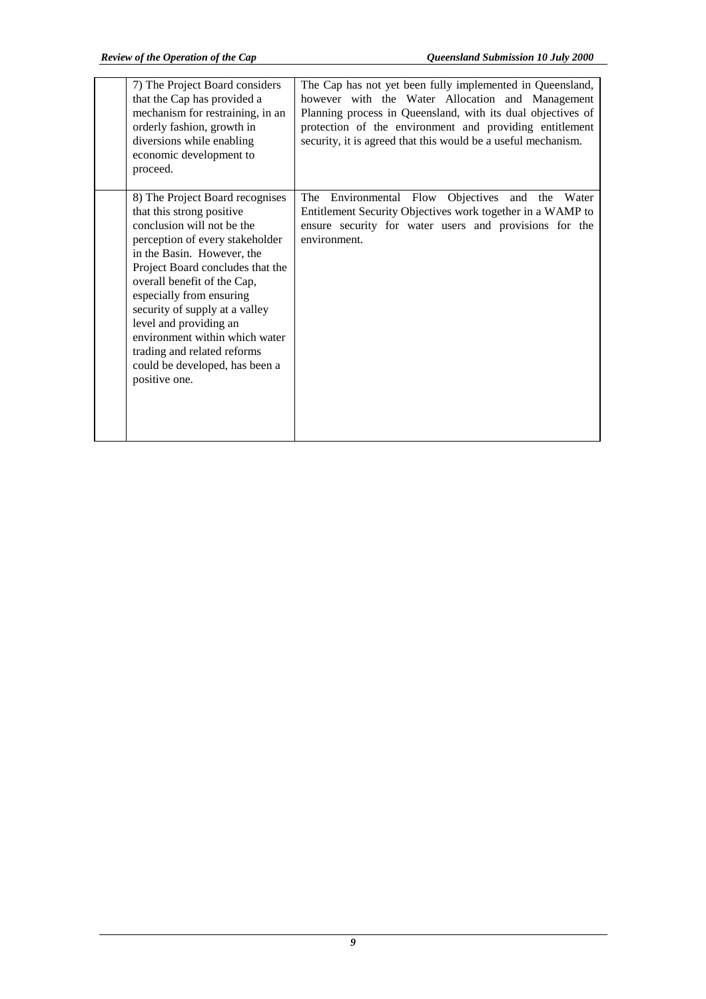| 7) The Project Board considers<br>that the Cap has provided a<br>mechanism for restraining, in an<br>orderly fashion, growth in<br>diversions while enabling<br>economic development to<br>proceed.                                                                                                                                                                                                                                        | The Cap has not yet been fully implemented in Queensland,<br>however with the Water Allocation and Management<br>Planning process in Queensland, with its dual objectives of<br>protection of the environment and providing entitlement<br>security, it is agreed that this would be a useful mechanism. |
|--------------------------------------------------------------------------------------------------------------------------------------------------------------------------------------------------------------------------------------------------------------------------------------------------------------------------------------------------------------------------------------------------------------------------------------------|----------------------------------------------------------------------------------------------------------------------------------------------------------------------------------------------------------------------------------------------------------------------------------------------------------|
| 8) The Project Board recognises<br>that this strong positive<br>conclusion will not be the<br>perception of every stakeholder<br>in the Basin. However, the<br>Project Board concludes that the<br>overall benefit of the Cap,<br>especially from ensuring<br>security of supply at a valley<br>level and providing an<br>environment within which water<br>trading and related reforms<br>could be developed, has been a<br>positive one. | Environmental Flow Objectives and the Water<br>The<br>Entitlement Security Objectives work together in a WAMP to<br>ensure security for water users and provisions for the<br>environment.                                                                                                               |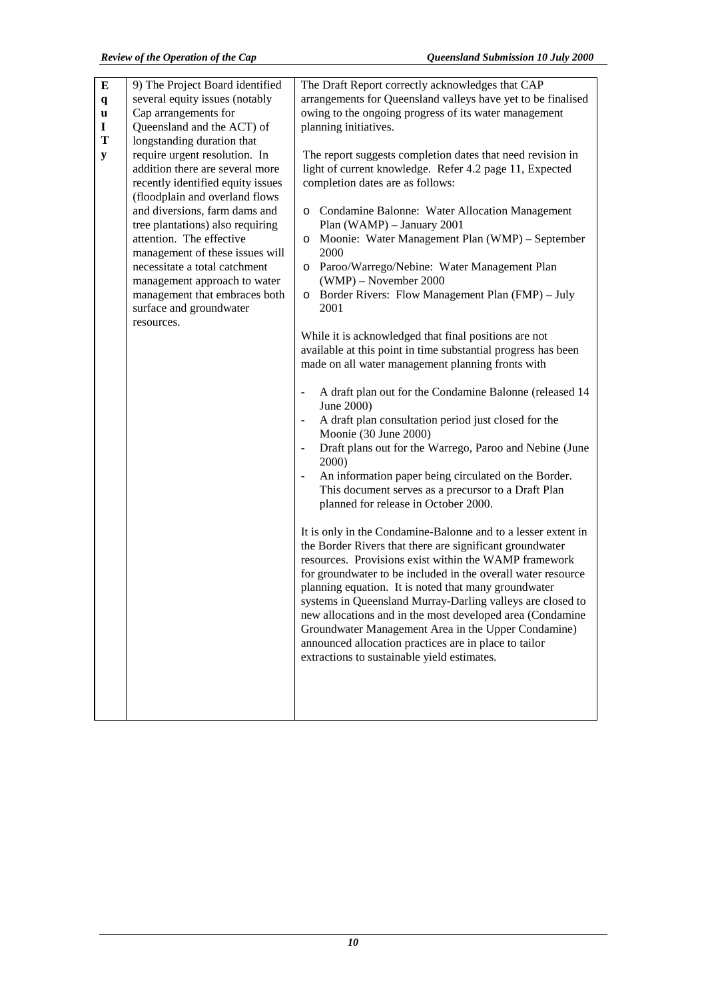| E<br>$\mathbf q$<br>u<br>I<br>T<br>${\bf y}$ | 9) The Project Board identified<br>several equity issues (notably<br>Cap arrangements for<br>Queensland and the ACT) of<br>longstanding duration that<br>require urgent resolution. In<br>addition there are several more<br>recently identified equity issues<br>(floodplain and overland flows<br>and diversions, farm dams and<br>tree plantations) also requiring<br>attention. The effective<br>management of these issues will<br>necessitate a total catchment<br>management approach to water<br>management that embraces both<br>surface and groundwater<br>resources. | The Draft Report correctly acknowledges that CAP<br>arrangements for Queensland valleys have yet to be finalised<br>owing to the ongoing progress of its water management<br>planning initiatives.<br>The report suggests completion dates that need revision in<br>light of current knowledge. Refer 4.2 page 11, Expected<br>completion dates are as follows:<br>o Condamine Balonne: Water Allocation Management<br>Plan (WAMP) - January 2001<br>Moonie: Water Management Plan (WMP) – September<br>$\circ$<br>2000<br>Paroo/Warrego/Nebine: Water Management Plan<br>$\circ$<br>(WMP) - November 2000<br>Border Rivers: Flow Management Plan (FMP) – July<br>$\circ$<br>2001<br>While it is acknowledged that final positions are not<br>available at this point in time substantial progress has been<br>made on all water management planning fronts with<br>A draft plan out for the Condamine Balonne (released 14<br>June 2000)<br>A draft plan consultation period just closed for the<br>Moonie (30 June 2000)<br>Draft plans out for the Warrego, Paroo and Nebine (June<br>2000)<br>An information paper being circulated on the Border.<br>This document serves as a precursor to a Draft Plan<br>planned for release in October 2000.<br>It is only in the Condamine-Balonne and to a lesser extent in<br>the Border Rivers that there are significant groundwater<br>resources. Provisions exist within the WAMP framework<br>for groundwater to be included in the overall water resource<br>planning equation. It is noted that many groundwater<br>systems in Queensland Murray-Darling valleys are closed to<br>new allocations and in the most developed area (Condamine<br>Groundwater Management Area in the Upper Condamine)<br>announced allocation practices are in place to tailor<br>extractions to sustainable yield estimates. |
|----------------------------------------------|---------------------------------------------------------------------------------------------------------------------------------------------------------------------------------------------------------------------------------------------------------------------------------------------------------------------------------------------------------------------------------------------------------------------------------------------------------------------------------------------------------------------------------------------------------------------------------|---------------------------------------------------------------------------------------------------------------------------------------------------------------------------------------------------------------------------------------------------------------------------------------------------------------------------------------------------------------------------------------------------------------------------------------------------------------------------------------------------------------------------------------------------------------------------------------------------------------------------------------------------------------------------------------------------------------------------------------------------------------------------------------------------------------------------------------------------------------------------------------------------------------------------------------------------------------------------------------------------------------------------------------------------------------------------------------------------------------------------------------------------------------------------------------------------------------------------------------------------------------------------------------------------------------------------------------------------------------------------------------------------------------------------------------------------------------------------------------------------------------------------------------------------------------------------------------------------------------------------------------------------------------------------------------------------------------------------------------------------------------------------------------------------------------------------------------------------------------|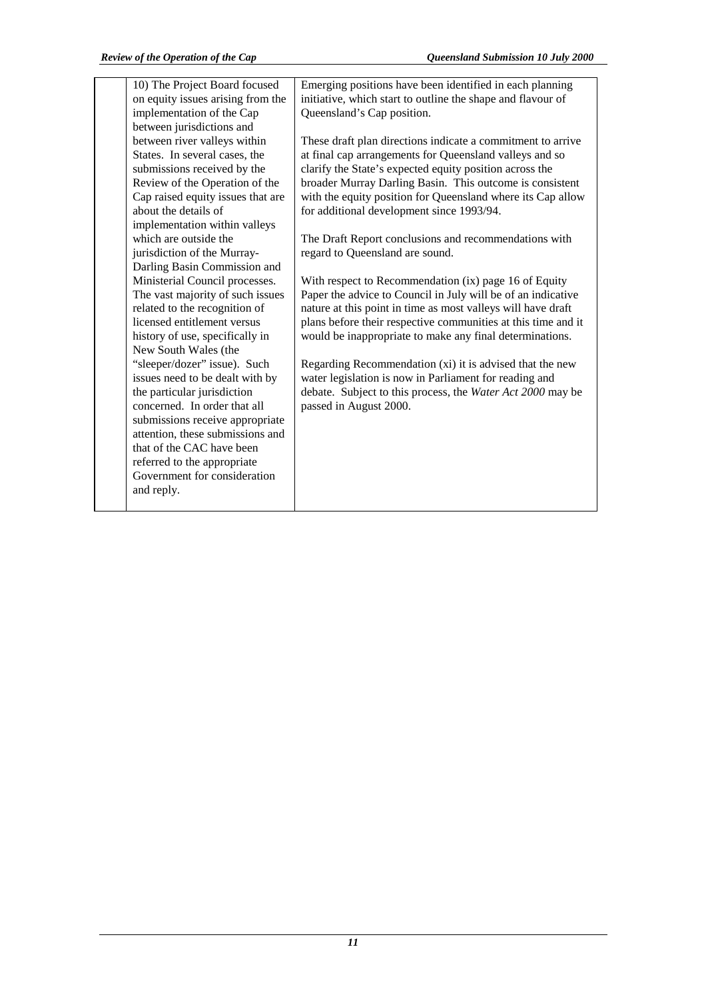| 10) The Project Board focused     | Emerging positions have been identified in each planning      |
|-----------------------------------|---------------------------------------------------------------|
| on equity issues arising from the | initiative, which start to outline the shape and flavour of   |
| implementation of the Cap         | Queensland's Cap position.                                    |
| between jurisdictions and         |                                                               |
| between river valleys within      | These draft plan directions indicate a commitment to arrive   |
| States. In several cases, the     | at final cap arrangements for Queensland valleys and so       |
| submissions received by the       | clarify the State's expected equity position across the       |
| Review of the Operation of the    | broader Murray Darling Basin. This outcome is consistent      |
| Cap raised equity issues that are | with the equity position for Queensland where its Cap allow   |
| about the details of              | for additional development since 1993/94.                     |
| implementation within valleys     |                                                               |
| which are outside the             | The Draft Report conclusions and recommendations with         |
| jurisdiction of the Murray-       | regard to Queensland are sound.                               |
| Darling Basin Commission and      |                                                               |
| Ministerial Council processes.    | With respect to Recommendation (ix) page 16 of Equity         |
| The vast majority of such issues  | Paper the advice to Council in July will be of an indicative  |
| related to the recognition of     | nature at this point in time as most valleys will have draft  |
| licensed entitlement versus       | plans before their respective communities at this time and it |
| history of use, specifically in   | would be inappropriate to make any final determinations.      |
| New South Wales (the              |                                                               |
| "sleeper/dozer" issue). Such      | Regarding Recommendation (xi) it is advised that the new      |
| issues need to be dealt with by   | water legislation is now in Parliament for reading and        |
| the particular jurisdiction       | debate. Subject to this process, the Water Act 2000 may be    |
| concerned. In order that all      | passed in August 2000.                                        |
| submissions receive appropriate   |                                                               |
| attention, these submissions and  |                                                               |
| that of the CAC have been         |                                                               |
| referred to the appropriate       |                                                               |
| Government for consideration      |                                                               |
| and reply.                        |                                                               |
|                                   |                                                               |
|                                   |                                                               |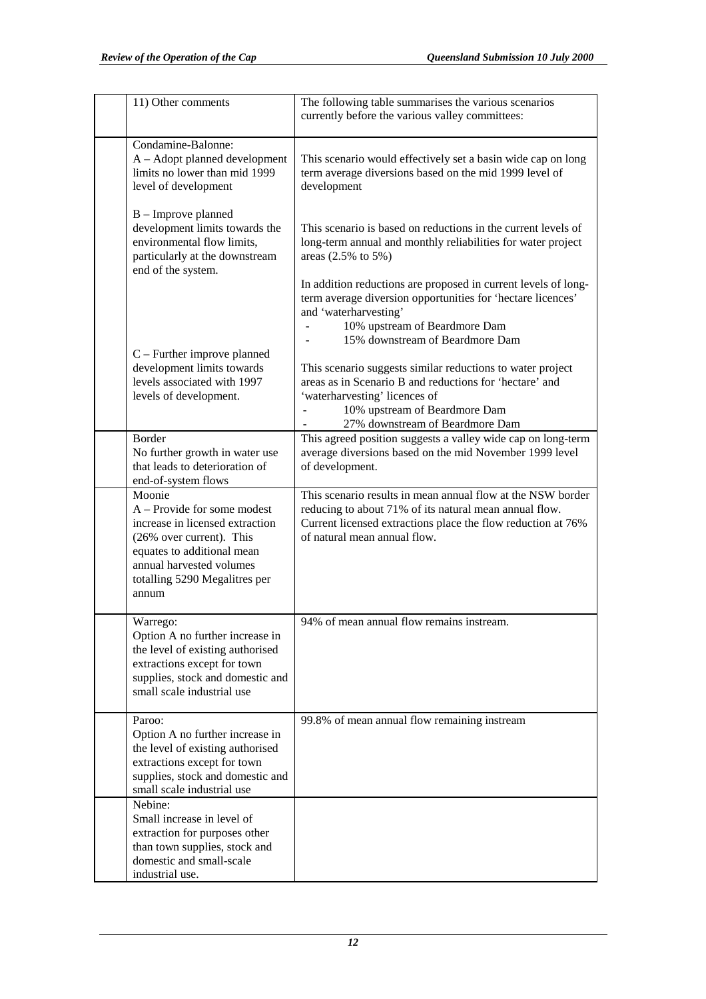| 11) Other comments                                                                                                                                                                                       | The following table summarises the various scenarios<br>currently before the various valley committees:                                                                                                                                                                                  |
|----------------------------------------------------------------------------------------------------------------------------------------------------------------------------------------------------------|------------------------------------------------------------------------------------------------------------------------------------------------------------------------------------------------------------------------------------------------------------------------------------------|
| Condamine-Balonne:<br>$A -$ Adopt planned development<br>limits no lower than mid 1999<br>level of development                                                                                           | This scenario would effectively set a basin wide cap on long<br>term average diversions based on the mid 1999 level of<br>development                                                                                                                                                    |
| B - Improve planned<br>development limits towards the<br>environmental flow limits,<br>particularly at the downstream<br>end of the system.                                                              | This scenario is based on reductions in the current levels of<br>long-term annual and monthly reliabilities for water project<br>areas $(2.5\% \text{ to } 5\%)$                                                                                                                         |
| $C$ – Further improve planned<br>development limits towards                                                                                                                                              | In addition reductions are proposed in current levels of long-<br>term average diversion opportunities for 'hectare licences'<br>and 'waterharvesting'<br>10% upstream of Beardmore Dam<br>15% downstream of Beardmore Dam<br>This scenario suggests similar reductions to water project |
| levels associated with 1997<br>levels of development.                                                                                                                                                    | areas as in Scenario B and reductions for 'hectare' and<br>'waterharvesting' licences of<br>10% upstream of Beardmore Dam<br>27% downstream of Beardmore Dam                                                                                                                             |
| Border<br>No further growth in water use<br>that leads to deterioration of<br>end-of-system flows                                                                                                        | This agreed position suggests a valley wide cap on long-term<br>average diversions based on the mid November 1999 level<br>of development.                                                                                                                                               |
| Moonie<br>A – Provide for some modest<br>increase in licensed extraction<br>(26% over current). This<br>equates to additional mean<br>annual harvested volumes<br>totalling 5290 Megalitres per<br>annum | This scenario results in mean annual flow at the NSW border<br>reducing to about 71% of its natural mean annual flow.<br>Current licensed extractions place the flow reduction at 76%<br>of natural mean annual flow.                                                                    |
| Warrego:<br>Option A no further increase in<br>the level of existing authorised<br>extractions except for town<br>supplies, stock and domestic and<br>small scale industrial use                         | 94% of mean annual flow remains instream.                                                                                                                                                                                                                                                |
| Paroo:<br>Option A no further increase in<br>the level of existing authorised<br>extractions except for town<br>supplies, stock and domestic and<br>small scale industrial use                           | 99.8% of mean annual flow remaining instream                                                                                                                                                                                                                                             |
| Nebine:<br>Small increase in level of<br>extraction for purposes other<br>than town supplies, stock and<br>domestic and small-scale<br>industrial use.                                                   |                                                                                                                                                                                                                                                                                          |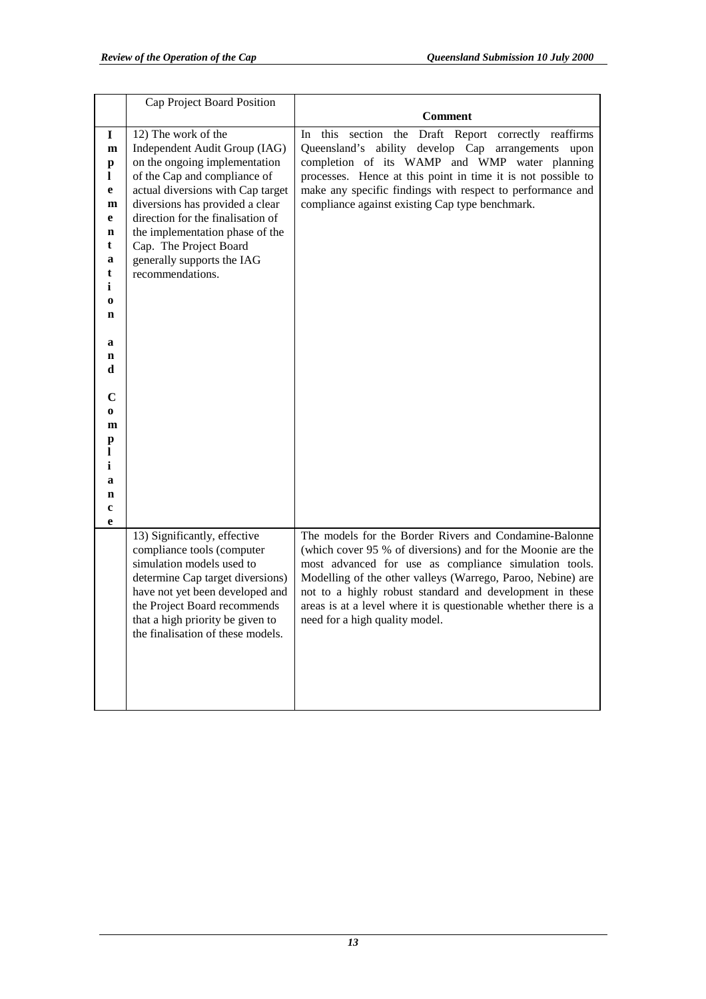|                                                                                                                                                                                      | Cap Project Board Position                                                                                                                                                                                                                                                                                                                        |                                                                                                                                                                                                                                                                                                                                                                                                                |
|--------------------------------------------------------------------------------------------------------------------------------------------------------------------------------------|---------------------------------------------------------------------------------------------------------------------------------------------------------------------------------------------------------------------------------------------------------------------------------------------------------------------------------------------------|----------------------------------------------------------------------------------------------------------------------------------------------------------------------------------------------------------------------------------------------------------------------------------------------------------------------------------------------------------------------------------------------------------------|
|                                                                                                                                                                                      |                                                                                                                                                                                                                                                                                                                                                   | <b>Comment</b>                                                                                                                                                                                                                                                                                                                                                                                                 |
| 1<br>m<br>p<br>1<br>e<br>$\mathbf{m}$<br>e<br>$\mathbf n$<br>t<br>a<br>t<br>i<br>$\bf{0}$<br>n<br>a<br>n<br>d<br>C<br>$\bf o$<br>m<br>p<br>1<br>i<br>a<br>$\mathbf n$<br>$\mathbf c$ | 12) The work of the<br>Independent Audit Group (IAG)<br>on the ongoing implementation<br>of the Cap and compliance of<br>actual diversions with Cap target<br>diversions has provided a clear<br>direction for the finalisation of<br>the implementation phase of the<br>Cap. The Project Board<br>generally supports the IAG<br>recommendations. | In this section the<br>Draft Report correctly reaffirms<br>Queensland's ability develop Cap arrangements upon<br>completion of its WAMP and WMP water planning<br>processes. Hence at this point in time it is not possible to<br>make any specific findings with respect to performance and<br>compliance against existing Cap type benchmark.                                                                |
| e                                                                                                                                                                                    | 13) Significantly, effective<br>compliance tools (computer<br>simulation models used to<br>determine Cap target diversions)<br>have not yet been developed and<br>the Project Board recommends<br>that a high priority be given to<br>the finalisation of these models.                                                                           | The models for the Border Rivers and Condamine-Balonne<br>(which cover 95 % of diversions) and for the Moonie are the<br>most advanced for use as compliance simulation tools.<br>Modelling of the other valleys (Warrego, Paroo, Nebine) are<br>not to a highly robust standard and development in these<br>areas is at a level where it is questionable whether there is a<br>need for a high quality model. |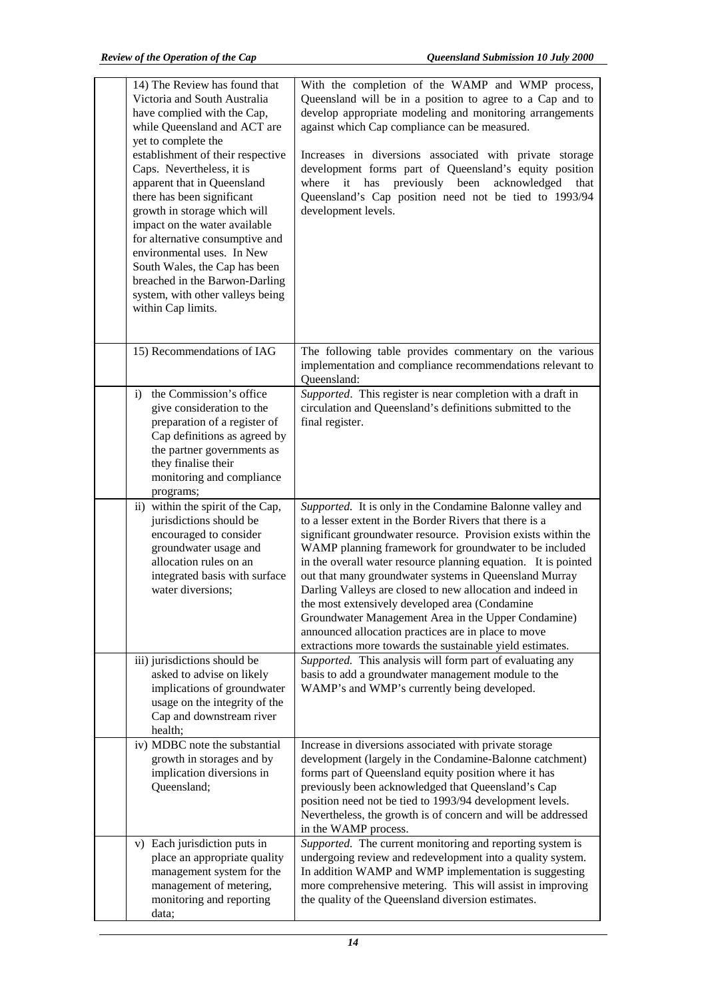| 14) The Review has found that<br>Victoria and South Australia<br>have complied with the Cap,<br>while Queensland and ACT are<br>yet to complete the<br>establishment of their respective<br>Caps. Nevertheless, it is<br>apparent that in Queensland<br>there has been significant<br>growth in storage which will<br>impact on the water available<br>for alternative consumptive and<br>environmental uses. In New<br>South Wales, the Cap has been<br>breached in the Barwon-Darling<br>system, with other valleys being<br>within Cap limits. | With the completion of the WAMP and WMP process,<br>Queensland will be in a position to agree to a Cap and to<br>develop appropriate modeling and monitoring arrangements<br>against which Cap compliance can be measured.<br>Increases in diversions associated with private storage<br>development forms part of Queensland's equity position<br>where it has previously been<br>acknowledged<br>that<br>Queensland's Cap position need not be tied to 1993/94<br>development levels.                                                                                                                                                                                |
|---------------------------------------------------------------------------------------------------------------------------------------------------------------------------------------------------------------------------------------------------------------------------------------------------------------------------------------------------------------------------------------------------------------------------------------------------------------------------------------------------------------------------------------------------|------------------------------------------------------------------------------------------------------------------------------------------------------------------------------------------------------------------------------------------------------------------------------------------------------------------------------------------------------------------------------------------------------------------------------------------------------------------------------------------------------------------------------------------------------------------------------------------------------------------------------------------------------------------------|
| 15) Recommendations of IAG                                                                                                                                                                                                                                                                                                                                                                                                                                                                                                                        | The following table provides commentary on the various<br>implementation and compliance recommendations relevant to<br>Oueensland:                                                                                                                                                                                                                                                                                                                                                                                                                                                                                                                                     |
| the Commission's office<br>i)<br>give consideration to the<br>preparation of a register of<br>Cap definitions as agreed by<br>the partner governments as<br>they finalise their<br>monitoring and compliance<br>programs;                                                                                                                                                                                                                                                                                                                         | Supported. This register is near completion with a draft in<br>circulation and Queensland's definitions submitted to the<br>final register.                                                                                                                                                                                                                                                                                                                                                                                                                                                                                                                            |
| ii) within the spirit of the Cap,<br>jurisdictions should be<br>encouraged to consider<br>groundwater usage and<br>allocation rules on an<br>integrated basis with surface<br>water diversions;                                                                                                                                                                                                                                                                                                                                                   | Supported. It is only in the Condamine Balonne valley and<br>to a lesser extent in the Border Rivers that there is a<br>significant groundwater resource. Provision exists within the<br>WAMP planning framework for groundwater to be included<br>in the overall water resource planning equation. It is pointed<br>out that many groundwater systems in Queensland Murray<br>Darling Valleys are closed to new allocation and indeed in<br>the most extensively developed area (Condamine<br>Groundwater Management Area in the Upper Condamine)<br>announced allocation practices are in place to move<br>extractions more towards the sustainable yield estimates. |
| iii) jurisdictions should be<br>asked to advise on likely<br>implications of groundwater<br>usage on the integrity of the<br>Cap and downstream river<br>health;                                                                                                                                                                                                                                                                                                                                                                                  | Supported. This analysis will form part of evaluating any<br>basis to add a groundwater management module to the<br>WAMP's and WMP's currently being developed.                                                                                                                                                                                                                                                                                                                                                                                                                                                                                                        |
| iv) MDBC note the substantial<br>growth in storages and by<br>implication diversions in<br>Queensland;                                                                                                                                                                                                                                                                                                                                                                                                                                            | Increase in diversions associated with private storage<br>development (largely in the Condamine-Balonne catchment)<br>forms part of Queensland equity position where it has<br>previously been acknowledged that Queensland's Cap<br>position need not be tied to 1993/94 development levels.<br>Nevertheless, the growth is of concern and will be addressed<br>in the WAMP process.                                                                                                                                                                                                                                                                                  |
| v) Each jurisdiction puts in<br>place an appropriate quality<br>management system for the<br>management of metering,<br>monitoring and reporting<br>data;                                                                                                                                                                                                                                                                                                                                                                                         | Supported. The current monitoring and reporting system is<br>undergoing review and redevelopment into a quality system.<br>In addition WAMP and WMP implementation is suggesting<br>more comprehensive metering. This will assist in improving<br>the quality of the Queensland diversion estimates.                                                                                                                                                                                                                                                                                                                                                                   |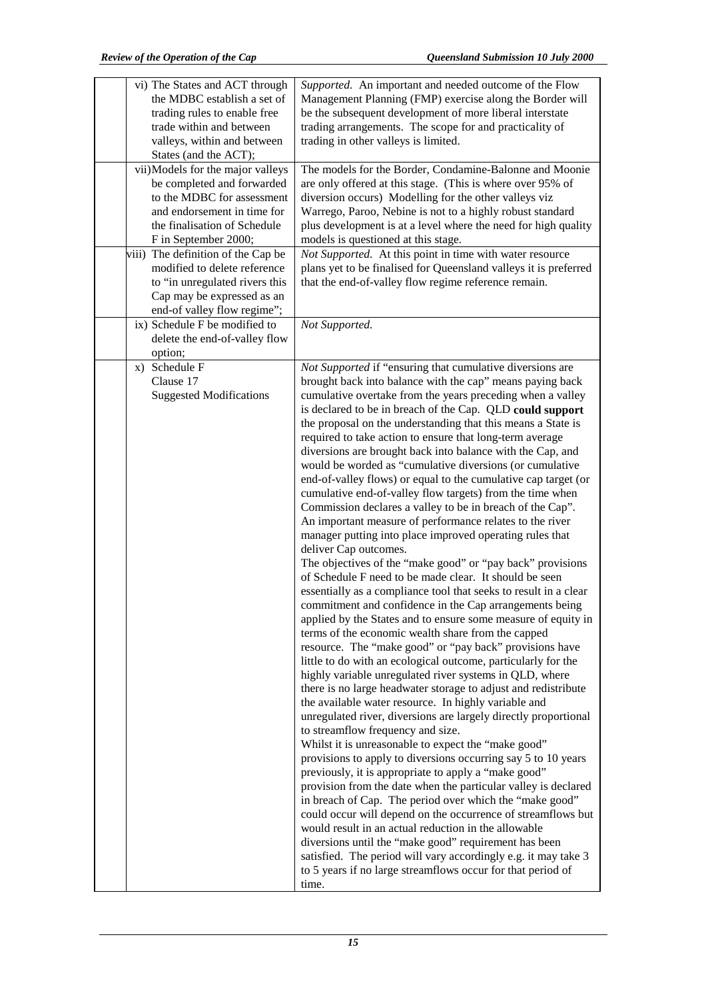| vi) The States and ACT through<br>the MDBC establish a set of<br>trading rules to enable free<br>trade within and between<br>valleys, within and between<br>States (and the ACT); | Supported. An important and needed outcome of the Flow<br>Management Planning (FMP) exercise along the Border will<br>be the subsequent development of more liberal interstate<br>trading arrangements. The scope for and practicality of<br>trading in other valleys is limited.                                                                                                                                                                                                                                                                                                                                                                                                                                                                                                                                                                                                                                                                                                                                                                                                                                                                                                                                                                                                                                                                                                                                                                                                                                                                                                                                                                                                                                                                                                                                                                                                                                                                                                                                                                                                                                                                                                                                                                                                                   |
|-----------------------------------------------------------------------------------------------------------------------------------------------------------------------------------|-----------------------------------------------------------------------------------------------------------------------------------------------------------------------------------------------------------------------------------------------------------------------------------------------------------------------------------------------------------------------------------------------------------------------------------------------------------------------------------------------------------------------------------------------------------------------------------------------------------------------------------------------------------------------------------------------------------------------------------------------------------------------------------------------------------------------------------------------------------------------------------------------------------------------------------------------------------------------------------------------------------------------------------------------------------------------------------------------------------------------------------------------------------------------------------------------------------------------------------------------------------------------------------------------------------------------------------------------------------------------------------------------------------------------------------------------------------------------------------------------------------------------------------------------------------------------------------------------------------------------------------------------------------------------------------------------------------------------------------------------------------------------------------------------------------------------------------------------------------------------------------------------------------------------------------------------------------------------------------------------------------------------------------------------------------------------------------------------------------------------------------------------------------------------------------------------------------------------------------------------------------------------------------------------------|
| vii)Models for the major valleys<br>be completed and forwarded<br>to the MDBC for assessment<br>and endorsement in time for                                                       | The models for the Border, Condamine-Balonne and Moonie<br>are only offered at this stage. (This is where over 95% of<br>diversion occurs) Modelling for the other valleys viz<br>Warrego, Paroo, Nebine is not to a highly robust standard                                                                                                                                                                                                                                                                                                                                                                                                                                                                                                                                                                                                                                                                                                                                                                                                                                                                                                                                                                                                                                                                                                                                                                                                                                                                                                                                                                                                                                                                                                                                                                                                                                                                                                                                                                                                                                                                                                                                                                                                                                                         |
| the finalisation of Schedule<br>F in September 2000;                                                                                                                              | plus development is at a level where the need for high quality<br>models is questioned at this stage.                                                                                                                                                                                                                                                                                                                                                                                                                                                                                                                                                                                                                                                                                                                                                                                                                                                                                                                                                                                                                                                                                                                                                                                                                                                                                                                                                                                                                                                                                                                                                                                                                                                                                                                                                                                                                                                                                                                                                                                                                                                                                                                                                                                               |
| viii) The definition of the Cap be<br>modified to delete reference<br>to "in unregulated rivers this<br>Cap may be expressed as an<br>end-of valley flow regime";                 | Not Supported. At this point in time with water resource<br>plans yet to be finalised for Queensland valleys it is preferred<br>that the end-of-valley flow regime reference remain.                                                                                                                                                                                                                                                                                                                                                                                                                                                                                                                                                                                                                                                                                                                                                                                                                                                                                                                                                                                                                                                                                                                                                                                                                                                                                                                                                                                                                                                                                                                                                                                                                                                                                                                                                                                                                                                                                                                                                                                                                                                                                                                |
| ix) Schedule F be modified to<br>delete the end-of-valley flow<br>option;                                                                                                         | Not Supported.                                                                                                                                                                                                                                                                                                                                                                                                                                                                                                                                                                                                                                                                                                                                                                                                                                                                                                                                                                                                                                                                                                                                                                                                                                                                                                                                                                                                                                                                                                                                                                                                                                                                                                                                                                                                                                                                                                                                                                                                                                                                                                                                                                                                                                                                                      |
| x) Schedule F<br>Clause 17<br><b>Suggested Modifications</b>                                                                                                                      | Not Supported if "ensuring that cumulative diversions are<br>brought back into balance with the cap" means paying back<br>cumulative overtake from the years preceding when a valley<br>is declared to be in breach of the Cap. QLD could support<br>the proposal on the understanding that this means a State is<br>required to take action to ensure that long-term average<br>diversions are brought back into balance with the Cap, and<br>would be worded as "cumulative diversions (or cumulative<br>end-of-valley flows) or equal to the cumulative cap target (or<br>cumulative end-of-valley flow targets) from the time when<br>Commission declares a valley to be in breach of the Cap".<br>An important measure of performance relates to the river<br>manager putting into place improved operating rules that<br>deliver Cap outcomes.<br>The objectives of the "make good" or "pay back" provisions<br>of Schedule F need to be made clear. It should be seen<br>essentially as a compliance tool that seeks to result in a clear<br>commitment and confidence in the Cap arrangements being<br>applied by the States and to ensure some measure of equity in<br>terms of the economic wealth share from the capped<br>resource. The "make good" or "pay back" provisions have<br>little to do with an ecological outcome, particularly for the<br>highly variable unregulated river systems in QLD, where<br>there is no large headwater storage to adjust and redistribute<br>the available water resource. In highly variable and<br>unregulated river, diversions are largely directly proportional<br>to streamflow frequency and size.<br>Whilst it is unreasonable to expect the "make good"<br>provisions to apply to diversions occurring say 5 to 10 years<br>previously, it is appropriate to apply a "make good"<br>provision from the date when the particular valley is declared<br>in breach of Cap. The period over which the "make good"<br>could occur will depend on the occurrence of streamflows but<br>would result in an actual reduction in the allowable<br>diversions until the "make good" requirement has been<br>satisfied. The period will vary accordingly e.g. it may take 3<br>to 5 years if no large streamflows occur for that period of<br>time. |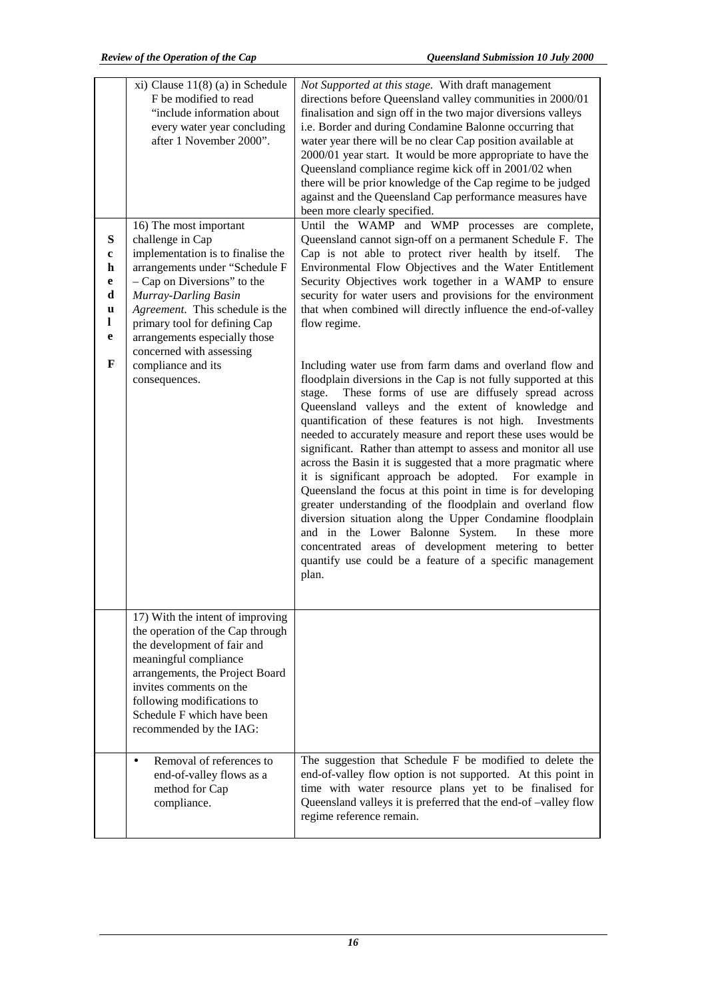|                                                 | $xi$ ) Clause 11(8) (a) in Schedule<br>F be modified to read<br>"include information about<br>every water year concluding<br>after 1 November 2000".                                                                                                                                                                                                                                    | Not Supported at this stage. With draft management<br>directions before Queensland valley communities in 2000/01<br>finalisation and sign off in the two major diversions valleys<br>i.e. Border and during Condamine Balonne occurring that<br>water year there will be no clear Cap position available at<br>2000/01 year start. It would be more appropriate to have the<br>Queensland compliance regime kick off in 2001/02 when<br>there will be prior knowledge of the Cap regime to be judged<br>against and the Queensland Cap performance measures have                                                                                                                                                                                                                                                                                                                                                                                                                                                                                                                                                                                                                                                                                                                                                                                                                                                               |
|-------------------------------------------------|-----------------------------------------------------------------------------------------------------------------------------------------------------------------------------------------------------------------------------------------------------------------------------------------------------------------------------------------------------------------------------------------|--------------------------------------------------------------------------------------------------------------------------------------------------------------------------------------------------------------------------------------------------------------------------------------------------------------------------------------------------------------------------------------------------------------------------------------------------------------------------------------------------------------------------------------------------------------------------------------------------------------------------------------------------------------------------------------------------------------------------------------------------------------------------------------------------------------------------------------------------------------------------------------------------------------------------------------------------------------------------------------------------------------------------------------------------------------------------------------------------------------------------------------------------------------------------------------------------------------------------------------------------------------------------------------------------------------------------------------------------------------------------------------------------------------------------------|
| $\bf S$<br>c<br>h<br>e<br>d<br>u<br>1<br>e<br>F | 16) The most important<br>challenge in Cap<br>implementation is to finalise the<br>arrangements under "Schedule F<br>$-$ Cap on Diversions" to the<br>Murray-Darling Basin<br>Agreement. This schedule is the<br>primary tool for defining Cap<br>arrangements especially those<br>concerned with assessing<br>compliance and its<br>consequences.                                      | been more clearly specified.<br>Until the WAMP and WMP processes are complete,<br>Queensland cannot sign-off on a permanent Schedule F. The<br>Cap is not able to protect river health by itself.<br>The<br>Environmental Flow Objectives and the Water Entitlement<br>Security Objectives work together in a WAMP to ensure<br>security for water users and provisions for the environment<br>that when combined will directly influence the end-of-valley<br>flow regime.<br>Including water use from farm dams and overland flow and<br>floodplain diversions in the Cap is not fully supported at this<br>These forms of use are diffusely spread across<br>stage.<br>Queensland valleys and the extent of knowledge and<br>quantification of these features is not high. Investments<br>needed to accurately measure and report these uses would be<br>significant. Rather than attempt to assess and monitor all use<br>across the Basin it is suggested that a more pragmatic where<br>it is significant approach be adopted. For example in<br>Queensland the focus at this point in time is for developing<br>greater understanding of the floodplain and overland flow<br>diversion situation along the Upper Condamine floodplain<br>and in the Lower Balonne System.<br>In these more<br>concentrated areas of development metering to better<br>quantify use could be a feature of a specific management<br>plan. |
|                                                 | 17) With the intent of improving<br>the operation of the Cap through<br>the development of fair and<br>meaningful compliance<br>arrangements, the Project Board<br>invites comments on the<br>following modifications to<br>Schedule F which have been<br>recommended by the IAG:<br>Removal of references to<br>$\bullet$<br>end-of-valley flows as a<br>method for Cap<br>compliance. | The suggestion that Schedule F be modified to delete the<br>end-of-valley flow option is not supported. At this point in<br>time with water resource plans yet to be finalised for<br>Queensland valleys it is preferred that the end-of-valley flow<br>regime reference remain.                                                                                                                                                                                                                                                                                                                                                                                                                                                                                                                                                                                                                                                                                                                                                                                                                                                                                                                                                                                                                                                                                                                                               |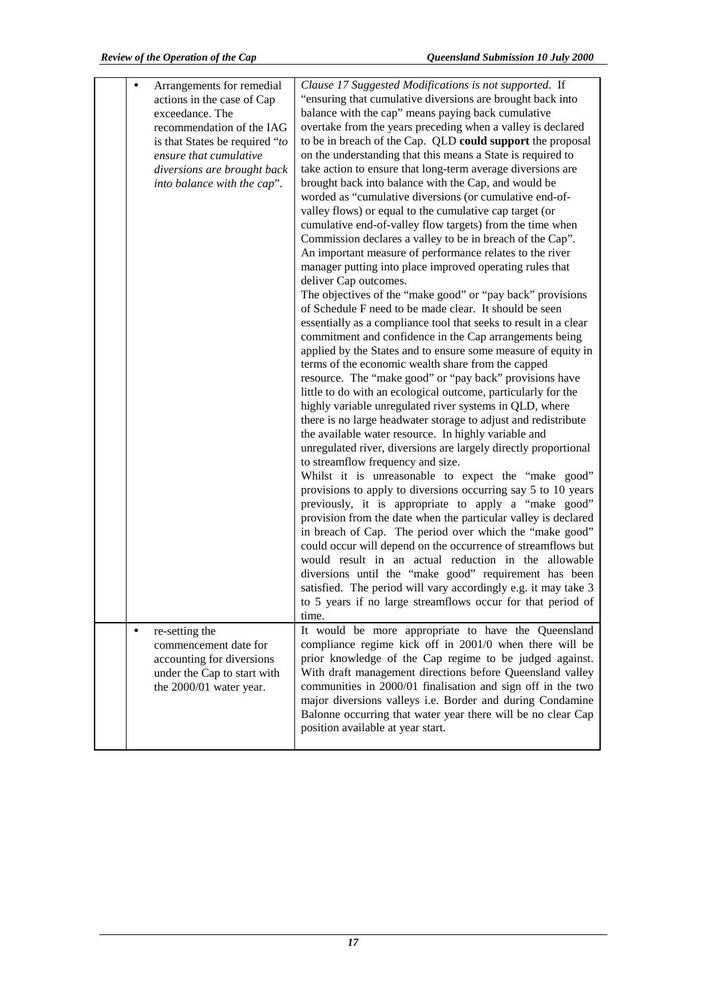|           | Arrangements for remedial<br>actions in the case of Cap<br>exceedance. The<br>recommendation of the IAG<br>is that States be required "to<br>ensure that cumulative<br>diversions are brought back<br>into balance with the cap". | Clause 17 Suggested Modifications is not supported. If<br>"ensuring that cumulative diversions are brought back into<br>balance with the cap" means paying back cumulative<br>overtake from the years preceding when a valley is declared<br>to be in breach of the Cap. QLD could support the proposal<br>on the understanding that this means a State is required to<br>take action to ensure that long-term average diversions are<br>brought back into balance with the Cap, and would be<br>worded as "cumulative diversions (or cumulative end-of-<br>valley flows) or equal to the cumulative cap target (or<br>cumulative end-of-valley flow targets) from the time when<br>Commission declares a valley to be in breach of the Cap".<br>An important measure of performance relates to the river<br>manager putting into place improved operating rules that<br>deliver Cap outcomes.<br>The objectives of the "make good" or "pay back" provisions<br>of Schedule F need to be made clear. It should be seen<br>essentially as a compliance tool that seeks to result in a clear<br>commitment and confidence in the Cap arrangements being<br>applied by the States and to ensure some measure of equity in<br>terms of the economic wealth share from the capped<br>resource. The "make good" or "pay back" provisions have<br>little to do with an ecological outcome, particularly for the<br>highly variable unregulated river systems in QLD, where<br>there is no large headwater storage to adjust and redistribute<br>the available water resource. In highly variable and<br>unregulated river, diversions are largely directly proportional<br>to streamflow frequency and size.<br>Whilst it is unreasonable to expect the "make good"<br>provisions to apply to diversions occurring say 5 to 10 years<br>previously, it is appropriate to apply a "make good"<br>provision from the date when the particular valley is declared<br>in breach of Cap. The period over which the "make good"<br>could occur will depend on the occurrence of streamflows but<br>would result in an actual reduction in the allowable<br>diversions until the "make good" requirement has been<br>satisfied. The period will vary accordingly e.g. it may take 3<br>to 5 years if no large streamflows occur for that period of<br>time. |
|-----------|-----------------------------------------------------------------------------------------------------------------------------------------------------------------------------------------------------------------------------------|-----------------------------------------------------------------------------------------------------------------------------------------------------------------------------------------------------------------------------------------------------------------------------------------------------------------------------------------------------------------------------------------------------------------------------------------------------------------------------------------------------------------------------------------------------------------------------------------------------------------------------------------------------------------------------------------------------------------------------------------------------------------------------------------------------------------------------------------------------------------------------------------------------------------------------------------------------------------------------------------------------------------------------------------------------------------------------------------------------------------------------------------------------------------------------------------------------------------------------------------------------------------------------------------------------------------------------------------------------------------------------------------------------------------------------------------------------------------------------------------------------------------------------------------------------------------------------------------------------------------------------------------------------------------------------------------------------------------------------------------------------------------------------------------------------------------------------------------------------------------------------------------------------------------------------------------------------------------------------------------------------------------------------------------------------------------------------------------------------------------------------------------------------------------------------------------------------------------------------------------------------------------------------------------------------------------------------------------------|
| $\bullet$ | re-setting the<br>commencement date for<br>accounting for diversions<br>under the Cap to start with<br>the 2000/01 water year.                                                                                                    | It would be more appropriate to have the Queensland<br>compliance regime kick off in 2001/0 when there will be<br>prior knowledge of the Cap regime to be judged against.<br>With draft management directions before Queensland valley<br>communities in 2000/01 finalisation and sign off in the two<br>major diversions valleys i.e. Border and during Condamine<br>Balonne occurring that water year there will be no clear Cap<br>position available at year start.                                                                                                                                                                                                                                                                                                                                                                                                                                                                                                                                                                                                                                                                                                                                                                                                                                                                                                                                                                                                                                                                                                                                                                                                                                                                                                                                                                                                                                                                                                                                                                                                                                                                                                                                                                                                                                                                       |